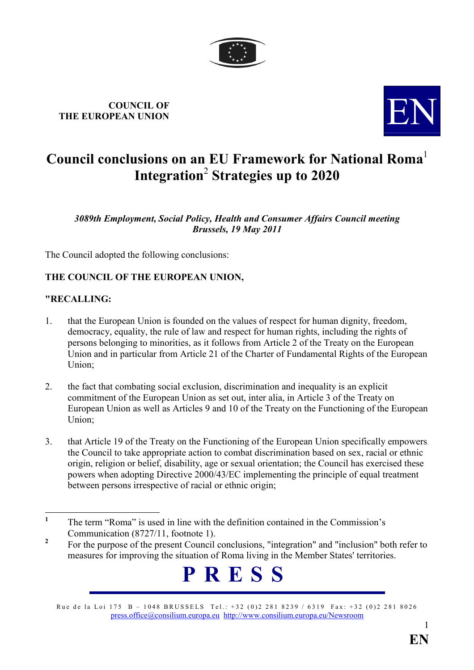

# COUNCIL OF COUNCIL OF THE EUROPEAN UNION



## Council conclusions on an EU Framework for National Roma<sup>1</sup> Integration $^2$  Strategies up to 2020  $^{\circ}$

3089th Employment, Social Policy, Health and Consumer Affairs Council meeting Brussels, 19 May 2011

The Council adopted the following conclusions:

### THE COUNCIL OF THE EUROPEAN UNION,

#### "RECALLING:

- 1. that the European Union is founded on the values of respect for human dignity, freedom, democracy, equality, the rule of law and respect for human rights, including the rights of persons belonging to minorities, as it follows from Article 2 of the Treaty on the European Union and in particular from Article 21 of the Charter of Fundamental Rights of the European Union;
- 2. the fact that combating social exclusion, discrimination and inequality is an explicit commitment of the European Union as set out, inter alia, in Article 3 of the Treaty on European Union as well as Articles 9 and 10 of the Treaty on the Functioning of the European Union;
- 3. that Article 19 of the Treaty on the Functioning of the European Union specifically empowers the Council to take appropriate action to combat discrimination based on sex, racial or ethnic origin, religion or belief, disability, age or sexual orientation; the Council has exercised these powers when adopting Directive 2000/43/EC implementing the principle of equal treatment between persons irrespective of racial or ethnic origin;

<sup>2</sup> For the purpose of the present Council conclusions, "integration" and "inclusion" both refer to measures for improving the situation of Roma living in the Member States' territories.



Rue de la Loi 175 B – 1048 BRUSSELS Tel.: +32 (0)2 281 8239 / 6319 Fax: +32 (0)2 281 8026 [press.office@consilium.europa.eu](mailto:press.office@consilium.eu.int) [http://www.consilium.europa.eu/Newsroom](http://ue.eu.int/Newsroom)

 $\frac{1}{1}$  The term "Roma" is used in line with the definition contained in the Commission's Communication (8727/11, footnote 1).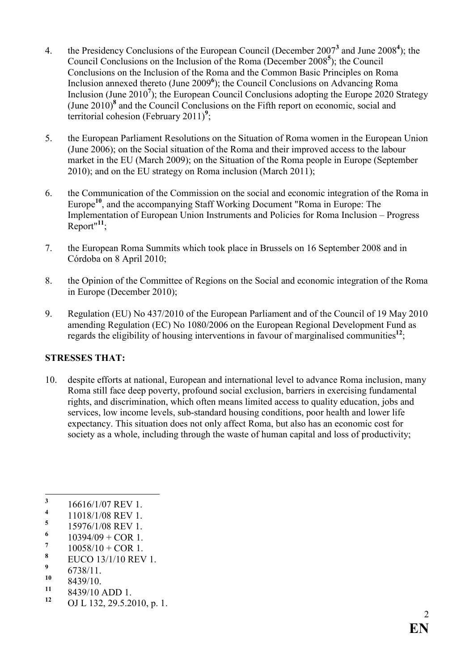- 4. the Presidency Conclusions of the European Council (December  $2007<sup>3</sup>$  and June  $2008<sup>4</sup>$ ); the Council Conclusions on the Inclusion of the Roma (December 2008<sup>5</sup>); the Council Conclusions on the Inclusion of the Roma and the Common Basic Principles on Roma Inclusion annexed thereto (June 2009<sup>6</sup>); the Council Conclusions on Advancing Roma Inclusion (June  $2010<sup>7</sup>$ ); the European Council Conclusions adopting the Europe 2020 Strategy (June  $2010$ )<sup>8</sup> and the Council Conclusions on the Fifth report on economic, social and territorial cohesion (February 2011)<sup>9</sup>;
- 5. the European Parliament Resolutions on the Situation of Roma women in the European Union (June 2006); on the Social situation of the Roma and their improved access to the labour market in the EU (March 2009); on the Situation of the Roma people in Europe (September 2010); and on the EU strategy on Roma inclusion (March 2011);
- 6. the Communication of the Commission on the social and economic integration of the Roma in Europe<sup>10</sup>, and the accompanying Staff Working Document "Roma in Europe: The Implementation of European Union Instruments and Policies for Roma Inclusion – Progress  $Report''<sup>11</sup>$ ;
- 7. the European Roma Summits which took place in Brussels on 16 September 2008 and in Córdoba on 8 April 2010;
- 8. the Opinion of the Committee of Regions on the Social and economic integration of the Roma in Europe (December 2010);
- 9. Regulation (EU) No 437/2010 of the European Parliament and of the Council of 19 May 2010 amending Regulation (EC) No 1080/2006 on the European Regional Development Fund as regards the eligibility of housing interventions in favour of marginalised communities<sup>12</sup>;

#### STRESSES THAT:

10. despite efforts at national, European and international level to advance Roma inclusion, many Roma still face deep poverty, profound social exclusion, barriers in exercising fundamental rights, and discrimination, which often means limited access to quality education, jobs and services, low income levels, sub-standard housing conditions, poor health and lower life expectancy. This situation does not only affect Roma, but also has an economic cost for society as a whole, including through the waste of human capital and loss of productivity;

9  $\frac{9}{10}$  6738/11.

 $^{11}$  8439/10 ADD 1.

<sup>&</sup>lt;sup>3</sup> 16616/1/07 REV 1.

<sup>4</sup> 11018/1/08 REV 1.

<sup>5</sup> 15976/1/08 REV 1.

<sup>6</sup>  $10394/09 + COR$  1.

<sup>7</sup>  $10058/10 + COR$  1.

<sup>8</sup> EUCO 13/1/10 REV 1.

 $\frac{10}{11}$  8439/10.

OJ L 132, 29.5.2010, p. 1.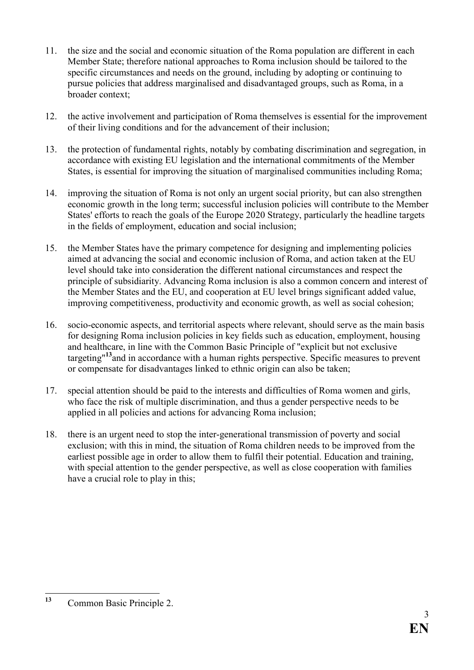- 11. the size and the social and economic situation of the Roma population are different in each Member State; therefore national approaches to Roma inclusion should be tailored to the specific circumstances and needs on the ground, including by adopting or continuing to pursue policies that address marginalised and disadvantaged groups, such as Roma, in a broader context;
- 12. the active involvement and participation of Roma themselves is essential for the improvement of their living conditions and for the advancement of their inclusion;
- 13. the protection of fundamental rights, notably by combating discrimination and segregation, in accordance with existing EU legislation and the international commitments of the Member States, is essential for improving the situation of marginalised communities including Roma;
- 14. improving the situation of Roma is not only an urgent social priority, but can also strengthen economic growth in the long term; successful inclusion policies will contribute to the Member States' efforts to reach the goals of the Europe 2020 Strategy, particularly the headline targets in the fields of employment, education and social inclusion;
- 15. the Member States have the primary competence for designing and implementing policies aimed at advancing the social and economic inclusion of Roma, and action taken at the EU level should take into consideration the different national circumstances and respect the principle of subsidiarity. Advancing Roma inclusion is also a common concern and interest of the Member States and the EU, and cooperation at EU level brings significant added value, improving competitiveness, productivity and economic growth, as well as social cohesion;
- 16. socio-economic aspects, and territorial aspects where relevant, should serve as the main basis for designing Roma inclusion policies in key fields such as education, employment, housing and healthcare, in line with the Common Basic Principle of "explicit but not exclusive targeting"<sup>13</sup> and in accordance with a human rights perspective. Specific measures to prevent or compensate for disadvantages linked to ethnic origin can also be taken;
- 17. special attention should be paid to the interests and difficulties of Roma women and girls, who face the risk of multiple discrimination, and thus a gender perspective needs to be applied in all policies and actions for advancing Roma inclusion;
- 18. there is an urgent need to stop the inter-generational transmission of poverty and social exclusion; with this in mind, the situation of Roma children needs to be improved from the earliest possible age in order to allow them to fulfil their potential. Education and training, with special attention to the gender perspective, as well as close cooperation with families have a crucial role to play in this;

 $13$ Common Basic Principle 2.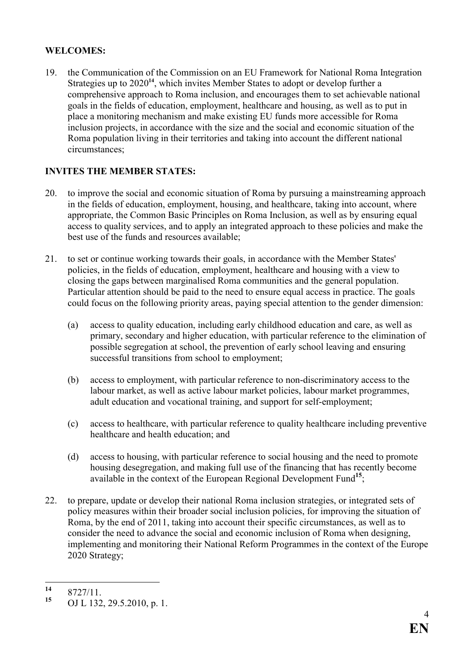#### WELCOMES:

19. the Communication of the Commission on an EU Framework for National Roma Integration Strategies up to 2020<sup>14</sup>, which invites Member States to adopt or develop further a comprehensive approach to Roma inclusion, and encourages them to set achievable national goals in the fields of education, employment, healthcare and housing, as well as to put in place a monitoring mechanism and make existing EU funds more accessible for Roma inclusion projects, in accordance with the size and the social and economic situation of the Roma population living in their territories and taking into account the different national circumstances;

### INVITES THE MEMBER STATES:

- 20. to improve the social and economic situation of Roma by pursuing a mainstreaming approach in the fields of education, employment, housing, and healthcare, taking into account, where appropriate, the Common Basic Principles on Roma Inclusion, as well as by ensuring equal access to quality services, and to apply an integrated approach to these policies and make the best use of the funds and resources available;
- 21. to set or continue working towards their goals, in accordance with the Member States' policies, in the fields of education, employment, healthcare and housing with a view to closing the gaps between marginalised Roma communities and the general population. Particular attention should be paid to the need to ensure equal access in practice. The goals could focus on the following priority areas, paying special attention to the gender dimension:
	- (a) access to quality education, including early childhood education and care, as well as primary, secondary and higher education, with particular reference to the elimination of possible segregation at school, the prevention of early school leaving and ensuring successful transitions from school to employment;
	- (b) access to employment, with particular reference to non-discriminatory access to the labour market, as well as active labour market policies, labour market programmes, adult education and vocational training, and support for self-employment;
	- (c) access to healthcare, with particular reference to quality healthcare including preventive healthcare and health education; and
	- (d) access to housing, with particular reference to social housing and the need to promote housing desegregation, and making full use of the financing that has recently become available in the context of the European Regional Development Fund<sup>15</sup>;
- 22. to prepare, update or develop their national Roma inclusion strategies, or integrated sets of policy measures within their broader social inclusion policies, for improving the situation of Roma, by the end of 2011, taking into account their specific circumstances, as well as to consider the need to advance the social and economic inclusion of Roma when designing, implementing and monitoring their National Reform Programmes in the context of the Europe 2020 Strategy;

 $14$  $\frac{14}{15}$  8727/11.

OJ L 132, 29.5.2010, p. 1.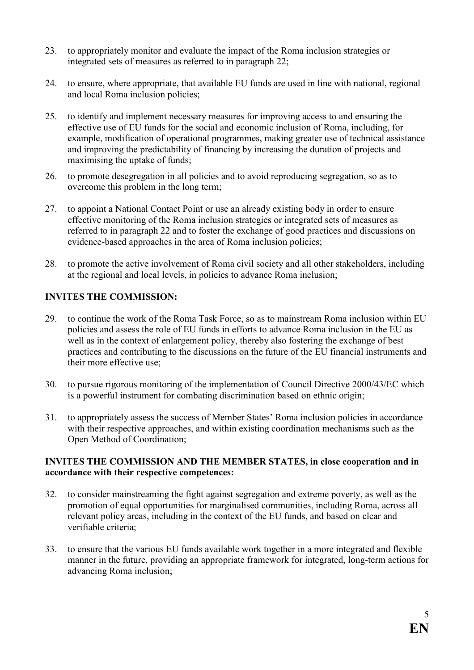- 23. to appropriately monitor and evaluate the impact of the Roma inclusion strategies or integrated sets of measures as referred to in paragraph 22;
- 24. to ensure, where appropriate, that available EU funds are used in line with national, regional and local Roma inclusion policies;
- 25. to identify and implement necessary measures for improving access to and ensuring the effective use of EU funds for the social and economic inclusion of Roma, including, for example, modification of operational programmes, making greater use of technical assistance and improving the predictability of financing by increasing the duration of projects and maximising the uptake of funds;
- 26. to promote desegregation in all policies and to avoid reproducing segregation, so as to overcome this problem in the long term;
- 27. to appoint a National Contact Point or use an already existing body in order to ensure effective monitoring of the Roma inclusion strategies or integrated sets of measures as referred to in paragraph 22 and to foster the exchange of good practices and discussions on evidence-based approaches in the area of Roma inclusion policies;
- 28. to promote the active involvement of Roma civil society and all other stakeholders, including at the regional and local levels, in policies to advance Roma inclusion;

#### INVITES THE COMMISSION:

- 29. to continue the work of the Roma Task Force, so as to mainstream Roma inclusion within EU policies and assess the role of EU funds in efforts to advance Roma inclusion in the EU as well as in the context of enlargement policy, thereby also fostering the exchange of best practices and contributing to the discussions on the future of the EU financial instruments and their more effective use;
- 30. to pursue rigorous monitoring of the implementation of Council Directive 2000/43/EC which is a powerful instrument for combating discrimination based on ethnic origin;
- 31. to appropriately assess the success of Member States' Roma inclusion policies in accordance with their respective approaches, and within existing coordination mechanisms such as the Open Method of Coordination;

#### INVITES THE COMMISSION AND THE MEMBER STATES, in close cooperation and in accordance with their respective competences:

- 32. to consider mainstreaming the fight against segregation and extreme poverty, as well as the promotion of equal opportunities for marginalised communities, including Roma, across all relevant policy areas, including in the context of the EU funds, and based on clear and verifiable criteria;
- 33. to ensure that the various EU funds available work together in a more integrated and flexible manner in the future, providing an appropriate framework for integrated, long-term actions for advancing Roma inclusion;